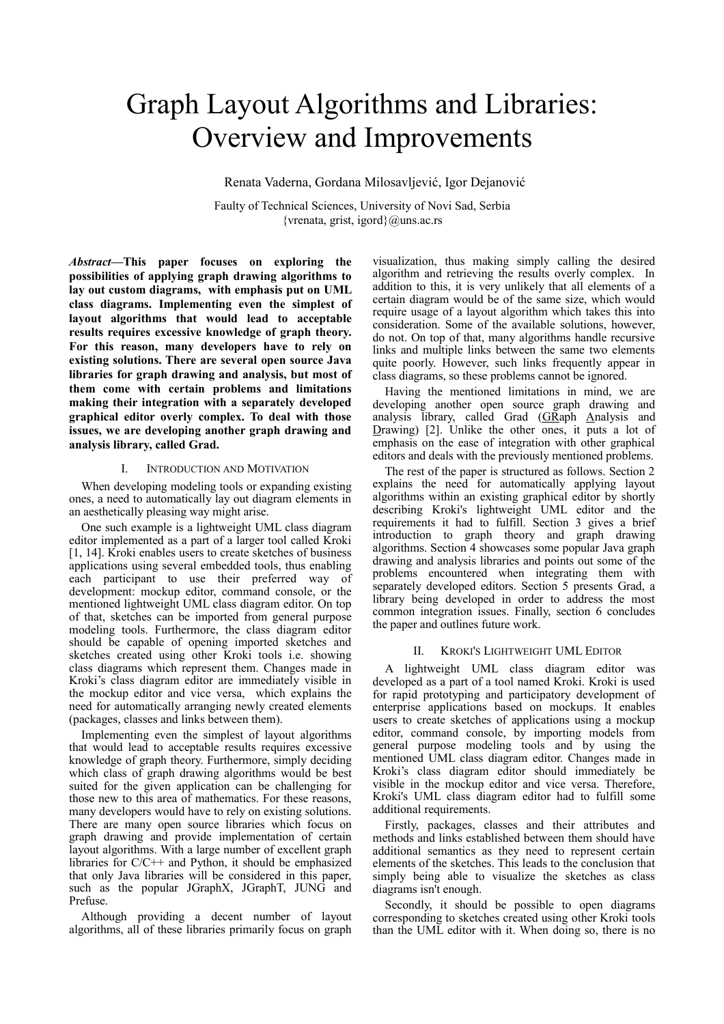# Graph Layout Algorithms and Libraries: Overview and Improvements

Renata Vaderna, Gordana Milosavljević, Igor Dejanović

Faulty of Technical Sciences, University of Novi Sad, Serbia {vrenata, grist, igord} $@$ uns.ac.rs

*Abstract***—This paper focuses on exploring the possibilities of applying graph drawing algorithms to lay out custom diagrams, with emphasis put on UML class diagrams. Implementing even the simplest of layout algorithms that would lead to acceptable results requires excessive knowledge of graph theory. For this reason, many developers have to rely on existing solutions. There are several open source Java libraries for graph drawing and analysis, but most of them come with certain problems and limitations making their integration with a separately developed graphical editor overly complex. To deal with those issues, we are developing another graph drawing and analysis library, called Grad.**

#### I. INTRODUCTION AND MOTIVATION

When developing modeling tools or expanding existing ones, a need to automatically lay out diagram elements in an aesthetically pleasing way might arise.

One such example is a lightweight UML class diagram editor implemented as a part of a larger tool called Kroki [1, 14]. Kroki enables users to create sketches of business applications using several embedded tools, thus enabling each participant to use their preferred way of development: mockup editor, command console, or the mentioned lightweight UML class diagram editor. On top of that, sketches can be imported from general purpose modeling tools. Furthermore, the class diagram editor should be capable of opening imported sketches and sketches created using other Kroki tools i.e. showing class diagrams which represent them. Changes made in Kroki's class diagram editor are immediately visible in the mockup editor and vice versa, which explains the need for automatically arranging newly created elements (packages, classes and links between them).

Implementing even the simplest of layout algorithms that would lead to acceptable results requires excessive knowledge of graph theory. Furthermore, simply deciding which class of graph drawing algorithms would be best suited for the given application can be challenging for those new to this area of mathematics. For these reasons, many developers would have to rely on existing solutions. There are many open source libraries which focus on graph drawing and provide implementation of certain layout algorithms. With a large number of excellent graph libraries for  $C/C++$  and Python, it should be emphasized that only Java libraries will be considered in this paper, such as the popular JGraphX, JGraphT, JUNG and Prefuse.

Although providing a decent number of layout algorithms, all of these libraries primarily focus on graph

visualization, thus making simply calling the desired algorithm and retrieving the results overly complex. In addition to this, it is very unlikely that all elements of a certain diagram would be of the same size, which would require usage of a layout algorithm which takes this into consideration. Some of the available solutions, however, do not. On top of that, many algorithms handle recursive links and multiple links between the same two elements quite poorly. However, such links frequently appear in class diagrams, so these problems cannot be ignored.

Having the mentioned limitations in mind, we are developing another open source graph drawing and analysis library, called Grad (GRaph Analysis and Drawing) [2]. Unlike the other ones, it puts a lot of emphasis on the ease of integration with other graphical editors and deals with the previously mentioned problems.

The rest of the paper is structured as follows. Section 2 explains the need for automatically applying layout algorithms within an existing graphical editor by shortly describing Kroki's lightweight UML editor and the requirements it had to fulfill. Section 3 gives a brief introduction to graph theory and graph drawing algorithms. Section 4 showcases some popular Java graph drawing and analysis libraries and points out some of the problems encountered when integrating them with separately developed editors. Section 5 presents Grad, a library being developed in order to address the most common integration issues. Finally, section 6 concludes the paper and outlines future work.

## II. KROKI'S LIGHTWEIGHT UML EDITOR

A lightweight UML class diagram editor was developed as a part of a tool named Kroki. Kroki is used for rapid prototyping and participatory development of enterprise applications based on mockups. It enables users to create sketches of applications using a mockup editor, command console, by importing models from general purpose modeling tools and by using the mentioned UML class diagram editor. Changes made in Kroki's class diagram editor should immediately be visible in the mockup editor and vice versa. Therefore, Kroki's UML class diagram editor had to fulfill some additional requirements.

Firstly, packages, classes and their attributes and methods and links established between them should have additional semantics as they need to represent certain elements of the sketches. This leads to the conclusion that simply being able to visualize the sketches as class diagrams isn't enough.

Secondly, it should be possible to open diagrams corresponding to sketches created using other Kroki tools than the UML editor with it. When doing so, there is no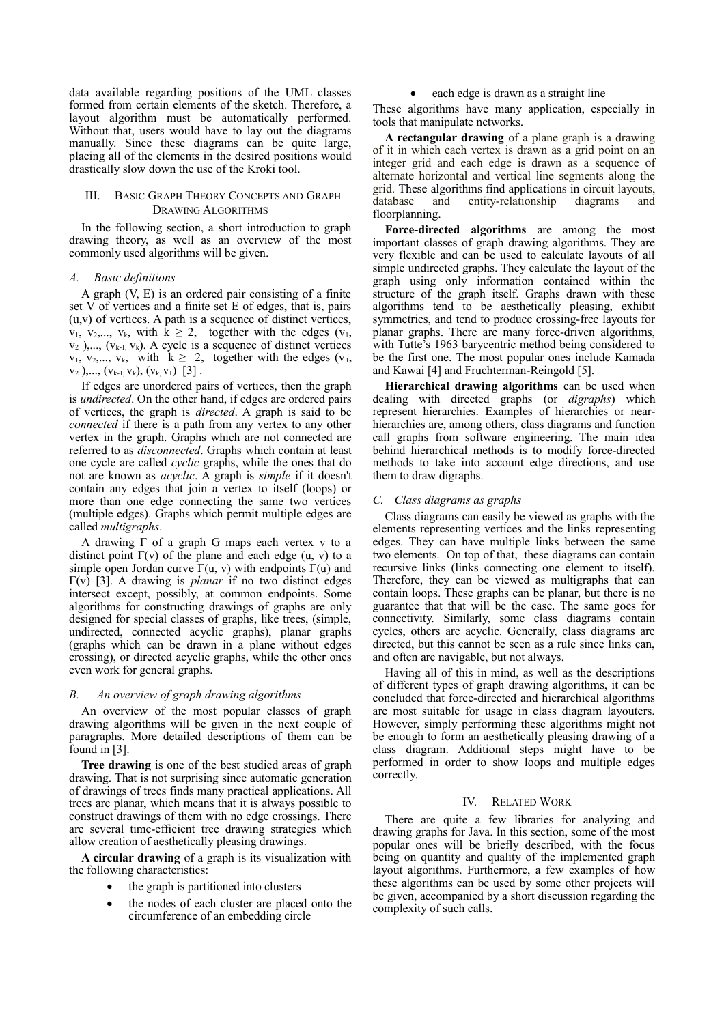data available regarding positions of the UML classes formed from certain elements of the sketch. Therefore, a layout algorithm must be automatically performed. Without that, users would have to lay out the diagrams manually. Since these diagrams can be quite large, placing all of the elements in the desired positions would drastically slow down the use of the Kroki tool.

## III. BASIC GRAPH THEORY CONCEPTS AND GRAPH DRAWING ALGORITHMS

In the following section, a short introduction to graph drawing theory, as well as an overview of the most commonly used algorithms will be given.

## *A. Basic definitions*

A graph (V, E) is an ordered pair consisting of a finite set V of vertices and a finite set E of edges, that is, pairs (u,v) of vertices. A path is a sequence of distinct vertices,  $v_1, v_2,..., v_k$ , with  $k \ge 2$ , together with the edges  $(v_1, v_2,..., v_k)$  $v_2$  ),...,  $(v_{k-1}, v_k)$ . A cycle is a sequence of distinct vertices  $v_1, v_2,..., v_k$ , with  $k \geq 2$ , together with the edges  $(v_1, v_2,..., v_k)$  $v_2$  ),...,  $(v_{k-1}, v_k)$ ,  $(v_k, v_1)$  [3].

If edges are unordered pairs of vertices, then the graph is *undirected*. On the other hand, if edges are ordered pairs of vertices, the graph is *directed*. A graph is said to be *connected* if there is a path from any vertex to any other vertex in the graph. Graphs which are not connected are referred to as *disconnected*. Graphs which contain at least one cycle are called *cyclic* graphs, while the ones that do not are known as *acyclic*. A graph is *simple* if it doesn't contain any edges that join a vertex to itself (loops) or more than one edge connecting the same two vertices (multiple edges). Graphs which permit multiple edges are called *multigraphs*.

A drawing Γ of a graph G maps each vertex v to a distinct point  $\Gamma(v)$  of the plane and each edge (u, v) to a simple open Jordan curve  $\Gamma(u, v)$  with endpoints  $\Gamma(u)$  and Γ(v) [3]. A drawing is *planar* if no two distinct edges intersect except, possibly, at common endpoints. Some algorithms for constructing drawings of graphs are only designed for special classes of graphs, like trees, (simple, undirected, connected acyclic graphs), planar graphs (graphs which can be drawn in a plane without edges crossing), or directed acyclic graphs, while the other ones even work for general graphs.

#### *B. An overview of graph drawing algorithms*

An overview of the most popular classes of graph drawing algorithms will be given in the next couple of paragraphs. More detailed descriptions of them can be found in [3].

**Tree drawing** is one of the best studied areas of graph drawing. That is not surprising since automatic generation of drawings of trees finds many practical applications. All trees are planar, which means that it is always possible to construct drawings of them with no edge crossings. There are several time-efficient tree drawing strategies which allow creation of aesthetically pleasing drawings.

**A circular drawing** of a graph is its visualization with the following characteristics:

- the graph is partitioned into clusters
- the nodes of each cluster are placed onto the circumference of an embedding circle

each edge is drawn as a straight line

These algorithms have many application, especially in tools that manipulate networks.

**A rectangular drawing** of a plane graph is a drawing of it in which each vertex is drawn as a grid point on an integer grid and each edge is drawn as a sequence of alternate horizontal and vertical line segments along the grid. These algorithms find applications in circuit layouts,  $database$  and entity-relationship diagrams floorplanning.

**Force-directed algorithms** are among the most important classes of graph drawing algorithms. They are very flexible and can be used to calculate layouts of all simple undirected graphs. They calculate the layout of the graph using only information contained within the structure of the graph itself. Graphs drawn with these algorithms tend to be aesthetically pleasing, exhibit symmetries, and tend to produce crossing-free layouts for planar graphs. There are many force-driven algorithms, with Tutte's 1963 barycentric method being considered to be the first one. The most popular ones include Kamada and Kawai [4] and Fruchterman-Reingold [5].

**Hierarchical drawing algorithms** can be used when dealing with directed graphs (or *digraphs*) which represent hierarchies. Examples of hierarchies or nearhierarchies are, among others, class diagrams and function call graphs from software engineering. The main idea behind hierarchical methods is to modify force-directed methods to take into account edge directions, and use them to draw digraphs.

#### *C. Class diagrams as graphs*

Class diagrams can easily be viewed as graphs with the elements representing vertices and the links representing edges. They can have multiple links between the same two elements. On top of that, these diagrams can contain recursive links (links connecting one element to itself). Therefore, they can be viewed as multigraphs that can contain loops. These graphs can be planar, but there is no guarantee that that will be the case. The same goes for connectivity. Similarly, some class diagrams contain cycles, others are acyclic. Generally, class diagrams are directed, but this cannot be seen as a rule since links can, and often are navigable, but not always.

Having all of this in mind, as well as the descriptions of different types of graph drawing algorithms, it can be concluded that force-directed and hierarchical algorithms are most suitable for usage in class diagram layouters. However, simply performing these algorithms might not be enough to form an aesthetically pleasing drawing of a class diagram. Additional steps might have to be performed in order to show loops and multiple edges correctly.

#### IV. RELATED WORK

There are quite a few libraries for analyzing and drawing graphs for Java. In this section, some of the most popular ones will be briefly described, with the focus being on quantity and quality of the implemented graph layout algorithms. Furthermore, a few examples of how these algorithms can be used by some other projects will be given, accompanied by a short discussion regarding the complexity of such calls.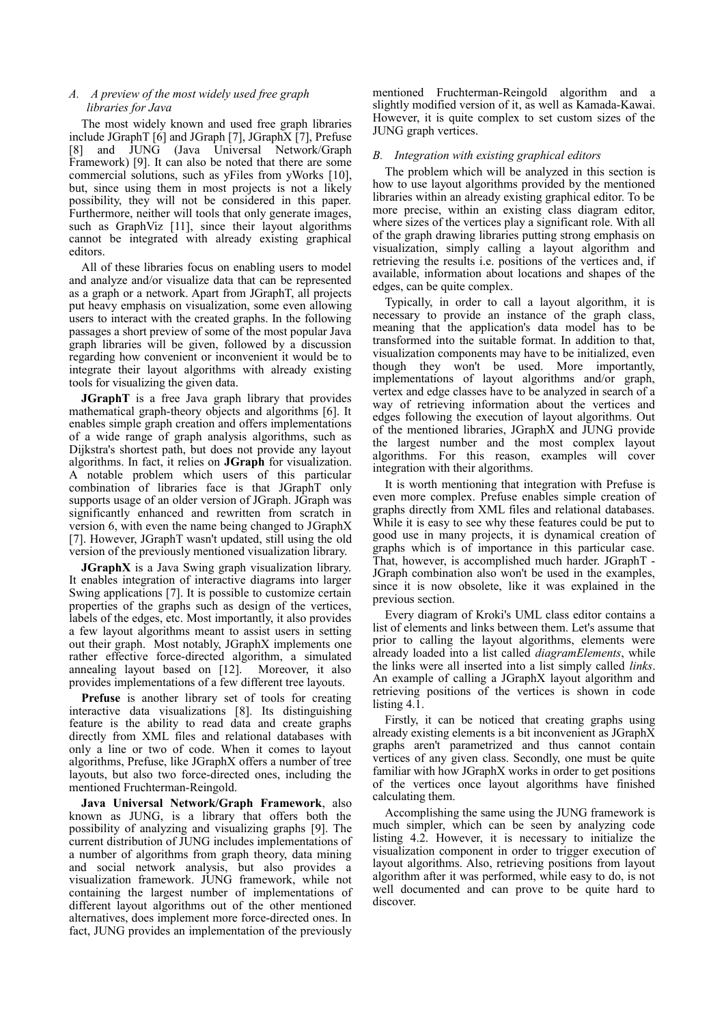## *A. A preview of the most widely used free graph libraries for Java*

The most widely known and used free graph libraries include JGraphT [6] and JGraph [7], JGraphX [7], Prefuse [8] and JUNG (Java Universal Network/Graph Framework) [9]. It can also be noted that there are some commercial solutions, such as yFiles from yWorks [10], but, since using them in most projects is not a likely possibility, they will not be considered in this paper. Furthermore, neither will tools that only generate images, such as GraphViz [11], since their layout algorithms cannot be integrated with already existing graphical editors.

All of these libraries focus on enabling users to model and analyze and/or visualize data that can be represented as a graph or a network. Apart from JGraphT, all projects put heavy emphasis on visualization, some even allowing users to interact with the created graphs. In the following passages a short preview of some of the most popular Java graph libraries will be given, followed by a discussion regarding how convenient or inconvenient it would be to integrate their layout algorithms with already existing tools for visualizing the given data.

**JGraphT** is a free Java graph library that provides mathematical graph-theory objects and algorithms [6]. It enables simple graph creation and offers implementations of a wide range of graph analysis algorithms, such as Dijkstra's shortest path, but does not provide any layout algorithms. In fact, it relies on **JGraph** for visualization. A notable problem which users of this particular combination of libraries face is that JGraphT only supports usage of an older version of JGraph. JGraph was significantly enhanced and rewritten from scratch in version 6, with even the name being changed to JGraphX [7]. However, JGraphT wasn't updated, still using the old version of the previously mentioned visualization library.

**JGraphX** is a Java Swing graph visualization library. It enables integration of interactive diagrams into larger Swing applications [7]. It is possible to customize certain properties of the graphs such as design of the vertices, labels of the edges, etc. Most importantly, it also provides a few layout algorithms meant to assist users in setting out their graph. Most notably, JGraphX implements one rather effective force-directed algorithm, a simulated annealing layout based on [12]. Moreover, it also provides implementations of a few different tree layouts.

**Prefuse** is another library set of tools for creating interactive data visualizations [8]. Its distinguishing feature is the ability to read data and create graphs directly from XML files and relational databases with only a line or two of code. When it comes to layout algorithms, Prefuse, like JGraphX offers a number of tree layouts, but also two force-directed ones, including the mentioned Fruchterman-Reingold.

**Java Universal Network/Graph Framework**, also known as JUNG, is a library that offers both the possibility of analyzing and visualizing graphs [9]. The current distribution of JUNG includes implementations of a number of algorithms from graph theory, data mining and social network analysis, but also provides a visualization framework. JUNG framework, while not containing the largest number of implementations of different layout algorithms out of the other mentioned alternatives, does implement more force-directed ones. In fact, JUNG provides an implementation of the previously

mentioned Fruchterman-Reingold algorithm and a slightly modified version of it, as well as Kamada-Kawai. However, it is quite complex to set custom sizes of the JUNG graph vertices.

## *B. Integration with existing graphical editors*

The problem which will be analyzed in this section is how to use layout algorithms provided by the mentioned libraries within an already existing graphical editor. To be more precise, within an existing class diagram editor, where sizes of the vertices play a significant role. With all of the graph drawing libraries putting strong emphasis on visualization, simply calling a layout algorithm and retrieving the results i.e. positions of the vertices and, if available, information about locations and shapes of the edges, can be quite complex.

Typically, in order to call a layout algorithm, it is necessary to provide an instance of the graph class, meaning that the application's data model has to be transformed into the suitable format. In addition to that, visualization components may have to be initialized, even though they won't be used. More importantly, implementations of layout algorithms and/or graph, vertex and edge classes have to be analyzed in search of a way of retrieving information about the vertices and edges following the execution of layout algorithms. Out of the mentioned libraries, JGraphX and JUNG provide the largest number and the most complex layout algorithms. For this reason, examples will cover integration with their algorithms.

It is worth mentioning that integration with Prefuse is even more complex. Prefuse enables simple creation of graphs directly from XML files and relational databases. While it is easy to see why these features could be put to good use in many projects, it is dynamical creation of graphs which is of importance in this particular case. That, however, is accomplished much harder. JGraphT - JGraph combination also won't be used in the examples, since it is now obsolete, like it was explained in the previous section.

Every diagram of Kroki's UML class editor contains a list of elements and links between them. Let's assume that prior to calling the layout algorithms, elements were already loaded into a list called *diagramElements*, while the links were all inserted into a list simply called *links*. An example of calling a JGraphX layout algorithm and retrieving positions of the vertices is shown in code listing 4.1.

Firstly, it can be noticed that creating graphs using already existing elements is a bit inconvenient as JGraphX graphs aren't parametrized and thus cannot contain vertices of any given class. Secondly, one must be quite familiar with how JGraphX works in order to get positions of the vertices once layout algorithms have finished calculating them.

Accomplishing the same using the JUNG framework is much simpler, which can be seen by analyzing code listing 4.2. However, it is necessary to initialize the visualization component in order to trigger execution of layout algorithms. Also, retrieving positions from layout algorithm after it was performed, while easy to do, is not well documented and can prove to be quite hard to discover.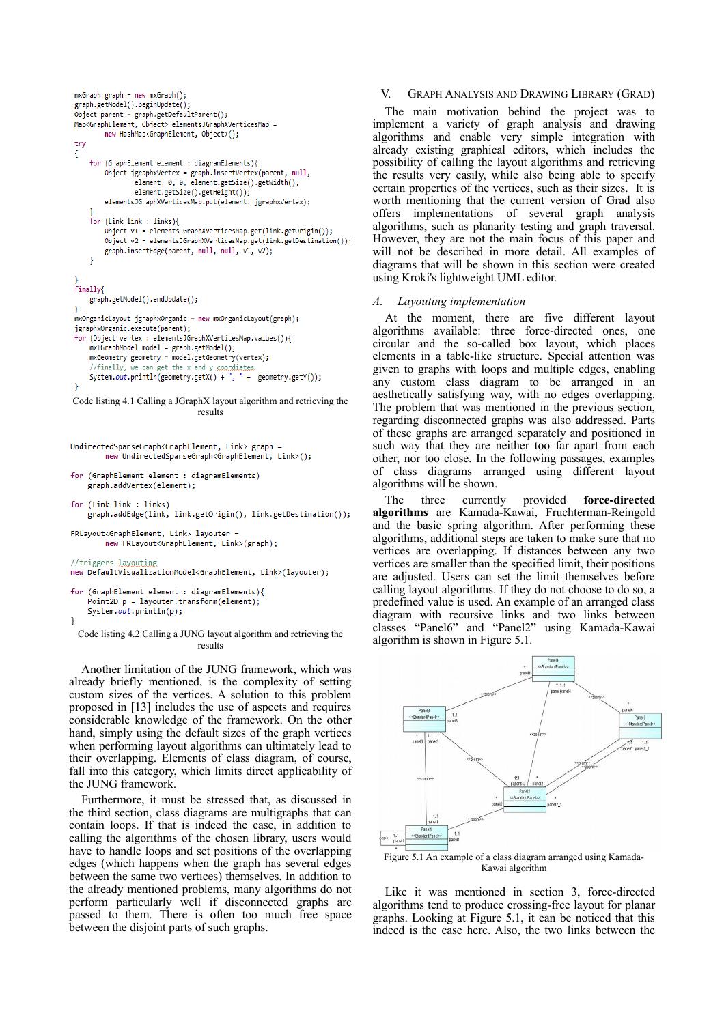```
mxGraph graph = new mxGraph();
 graph.getModel().beginUpdate();
 \begin{minipage}{.4\linewidth} \textbf{Object parent} = \textbf{graph.getDefaultParent();} \end{minipage}Map<GraphElement, Object> elementsJGraphXVerticesMap =
         new HashMap<GraphElement, Object>();
 try
 \overline{\mathcal{E}}for (GraphElement element : diagramElements){
         Object jgraphxVertex = graph.insertVertex(parent, null,
                  element, 0, 0, element.getSize().getWidth(),
                  element.getSize().getHeight());
         elementsJGraphXVerticesMap.put(element, jgraphxVertex);
     for (Link link : links){
         \overrightarrow{0}bject v1 = elementsJGraphXVerticesMap.get(link.getOrigin());
         Object v2 = elementsJGraphXVerticesMap.get(link.getDestination());
         graph.insertEdge(parent, null, null, v1, v2);
     \overline{\phantom{a}}finally{
     graph.getModel().endUpdate();
 mxOrganicLayout jgraphxOrganic = new mxOrganicLayout(graph);
 jgraphx0rganic.execute(parent);
 for (Object vertex : elementsJGraphXVerticesMap.values()){
     mxIGraphModel model = graph.getModel();
     mxGeometry geometry = model.getGeometry(vertex);
     //finally, we can get the x and y coordiates
     System.out.println(geometry.getX() + ", " + geometry.getY());
Code listing 4.1 Calling a JGraphX layout algorithm and retrieving the
                                     results
UndirectedSparseGraph<GraphElement, Link> graph =
          new UndirectedSparseGraph<GraphElement, Link>();
```

```
for (GraphElement element : diagramElements)
   graph.addVertex(element);
```

```
for (Link link : links)
   graph.addEdge(link, link.getOrigin(), link.getDestination());
```

```
FRLavout<GraphElement, Link> lavouter
       new FRLayout<GraphElement, Link>(graph);
```

```
//triggers layouting
new DefaultVisualizationModel<GraphElement, Link>(layouter);
```

```
for (GraphElement element : diagramElements){
    Point2D p = layouter.transpose(m(element));System.out.println(p);
\mathcal{E}
```
Code listing 4.2 Calling a JUNG layout algorithm and retrieving the results

Another limitation of the JUNG framework, which was already briefly mentioned, is the complexity of setting custom sizes of the vertices. A solution to this problem proposed in [13] includes the use of aspects and requires considerable knowledge of the framework. On the other hand, simply using the default sizes of the graph vertices when performing layout algorithms can ultimately lead to their overlapping. Elements of class diagram, of course, fall into this category, which limits direct applicability of the JUNG framework.

Furthermore, it must be stressed that, as discussed in the third section, class diagrams are multigraphs that can contain loops. If that is indeed the case, in addition to calling the algorithms of the chosen library, users would have to handle loops and set positions of the overlapping edges (which happens when the graph has several edges between the same two vertices) themselves. In addition to the already mentioned problems, many algorithms do not perform particularly well if disconnected graphs are passed to them. There is often too much free space between the disjoint parts of such graphs.

## V. GRAPH ANALYSIS AND DRAWING LIBRARY (GRAD)

The main motivation behind the project was to implement a variety of graph analysis and drawing algorithms and enable very simple integration with already existing graphical editors, which includes the possibility of calling the layout algorithms and retrieving the results very easily, while also being able to specify certain properties of the vertices, such as their sizes. It is worth mentioning that the current version of Grad also offers implementations of several graph analysis algorithms, such as planarity testing and graph traversal. However, they are not the main focus of this paper and will not be described in more detail. All examples of diagrams that will be shown in this section were created using Kroki's lightweight UML editor.

# *A. Layouting implementation*

At the moment, there are five different layout algorithms available: three force-directed ones, one circular and the so-called box layout, which places elements in a table-like structure. Special attention was given to graphs with loops and multiple edges, enabling any custom class diagram to be arranged in an aesthetically satisfying way, with no edges overlapping. The problem that was mentioned in the previous section, regarding disconnected graphs was also addressed. Parts of these graphs are arranged separately and positioned in such way that they are neither too far apart from each other, nor too close. In the following passages, examples of class diagrams arranged using different layout algorithms will be shown.

The three currently provided **force-directed algorithms** are Kamada-Kawai, Fruchterman-Reingold and the basic spring algorithm. After performing these algorithms, additional steps are taken to make sure that no vertices are overlapping. If distances between any two vertices are smaller than the specified limit, their positions are adjusted. Users can set the limit themselves before calling layout algorithms. If they do not choose to do so, a predefined value is used. An example of an arranged class diagram with recursive links and two links between classes "Panel6" and "Panel2" using Kamada-Kawai algorithm is shown in Figure 5.1.



Figure 5.1 An example of a class diagram arranged using Kamada-Kawai algorithm

Like it was mentioned in section 3, force-directed algorithms tend to produce crossing-free layout for planar graphs. Looking at Figure 5.1, it can be noticed that this indeed is the case here. Also, the two links between the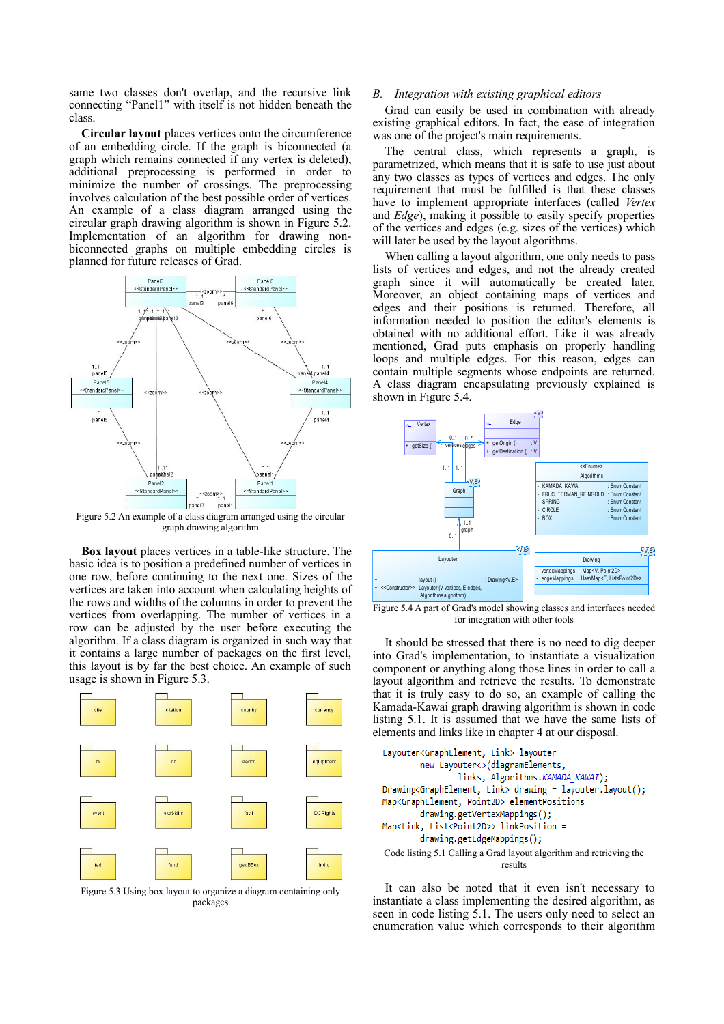same two classes don't overlap, and the recursive link connecting "Panel1" with itself is not hidden beneath the class.

**Circular layout** places vertices onto the circumference of an embedding circle. If the graph is biconnected (a graph which remains connected if any vertex is deleted), additional preprocessing is performed in order to minimize the number of crossings. The preprocessing involves calculation of the best possible order of vertices. An example of a class diagram arranged using the circular graph drawing algorithm is shown in Figure 5.2. Implementation of an algorithm for drawing nonbiconnected graphs on multiple embedding circles is planned for future releases of Grad.



graph drawing algorithm

**Box layout** places vertices in a table-like structure. The basic idea is to position a predefined number of vertices in one row, before continuing to the next one. Sizes of the vertices are taken into account when calculating heights of the rows and widths of the columns in order to prevent the vertices from overlapping. The number of vertices in a row can be adjusted by the user before executing the algorithm. If a class diagram is organized in such way that it contains a large number of packages on the first level, this layout is by far the best choice. An example of such usage is shown in Figure 5.3.



Figure 5.3 Using box layout to organize a diagram containing only packages

#### *B. Integration with existing graphical editors*

Grad can easily be used in combination with already existing graphical editors. In fact, the ease of integration was one of the project's main requirements.

The central class, which represents a graph, is parametrized, which means that it is safe to use just about any two classes as types of vertices and edges. The only requirement that must be fulfilled is that these classes have to implement appropriate interfaces (called *Vertex* and *Edge*), making it possible to easily specify properties of the vertices and edges (e.g. sizes of the vertices) which will later be used by the layout algorithms.

When calling a layout algorithm, one only needs to pass lists of vertices and edges, and not the already created graph since it will automatically be created later. Moreover, an object containing maps of vertices and edges and their positions is returned. Therefore, all information needed to position the editor's elements is obtained with no additional effort. Like it was already mentioned, Grad puts emphasis on properly handling loops and multiple edges. For this reason, edges can contain multiple segments whose endpoints are returned. A class diagram encapsulating previously explained is shown in Figure 5.4.



Figure 5.4 A part of Grad's model showing classes and interfaces needed for integration with other tools

It should be stressed that there is no need to dig deeper into Grad's implementation, to instantiate a visualization component or anything along those lines in order to call a layout algorithm and retrieve the results. To demonstrate that it is truly easy to do so, an example of calling the Kamada-Kawai graph drawing algorithm is shown in code listing 5.1. It is assumed that we have the same lists of elements and links like in chapter 4 at our disposal.



It can also be noted that it even isn't necessary to instantiate a class implementing the desired algorithm, as seen in code listing 5.1. The users only need to select an enumeration value which corresponds to their algorithm